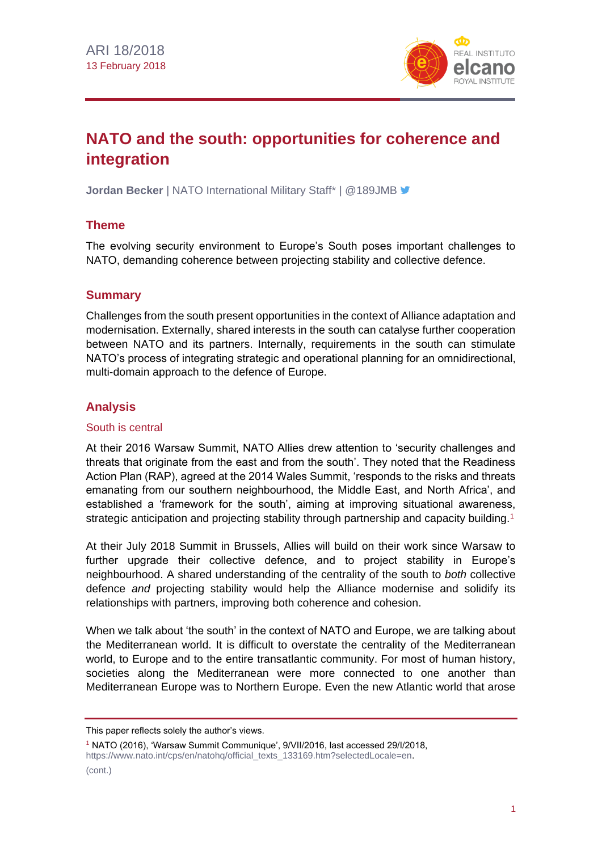

# **NATO and the south: opportunities for coherence and integration**

**Jordan Becker** | NATO International Military Staff\* | @189JMB <sup>▼</sup>

## **Theme**

The evolving security environment to Europe's South poses important challenges to NATO, demanding coherence between projecting stability and collective defence.

## **Summary**

Challenges from the south present opportunities in the context of Alliance adaptation and modernisation. Externally, shared interests in the south can catalyse further cooperation between NATO and its partners. Internally, requirements in the south can stimulate NATO's process of integrating strategic and operational planning for an omnidirectional, multi-domain approach to the defence of Europe.

## **Analysis**

#### South is central

At their 2016 Warsaw Summit, NATO Allies drew attention to 'security challenges and threats that originate from the east and from the south'. They noted that the Readiness Action Plan (RAP), agreed at the 2014 Wales Summit, 'responds to the risks and threats emanating from our southern neighbourhood, the Middle East, and North Africa', and established a 'framework for the south', aiming at improving situational awareness, strategic anticipation and projecting stability through partnership and capacity building.<sup>1</sup>

At their July 2018 Summit in Brussels, Allies will build on their work since Warsaw to further upgrade their collective defence, and to project stability in Europe's neighbourhood. A shared understanding of the centrality of the south to *both* collective defence *and* projecting stability would help the Alliance modernise and solidify its relationships with partners, improving both coherence and cohesion.

When we talk about 'the south' in the context of NATO and Europe, we are talking about the Mediterranean world. It is difficult to overstate the centrality of the Mediterranean world, to Europe and to the entire transatlantic community. For most of human history, societies along the Mediterranean were more connected to one another than Mediterranean Europe was to Northern Europe. Even the new Atlantic world that arose

This paper reflects solely the author's views.

<sup>1</sup> NATO (2016), 'Warsaw Summit Communique', 9/VII/2016, last accessed 29/I/2018, [https://www.nato.int/cps/en/natohq/official\\_texts\\_133169.htm?selectedLocale=en.](https://www.nato.int/cps/en/natohq/official_texts_133169.htm?selectedLocale=en)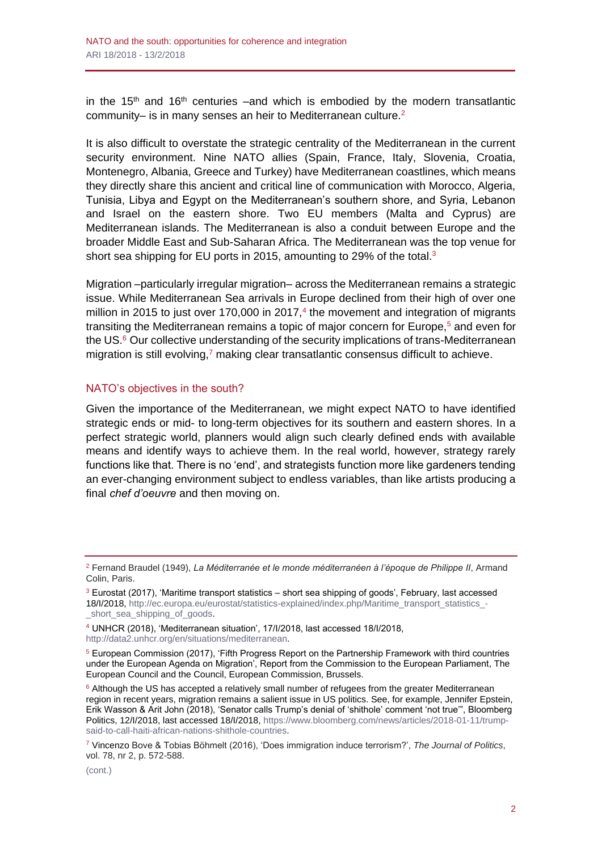in the 15<sup>th</sup> and 16<sup>th</sup> centuries –and which is embodied by the modern transatlantic community– is in many senses an heir to Mediterranean culture.<sup>2</sup>

It is also difficult to overstate the strategic centrality of the Mediterranean in the current security environment. Nine NATO allies (Spain, France, Italy, Slovenia, Croatia, Montenegro, Albania, Greece and Turkey) have Mediterranean coastlines, which means they directly share this ancient and critical line of communication with Morocco, Algeria, Tunisia, Libya and Egypt on the Mediterranean's southern shore, and Syria, Lebanon and Israel on the eastern shore. Two EU members (Malta and Cyprus) are Mediterranean islands. The Mediterranean is also a conduit between Europe and the broader Middle East and Sub-Saharan Africa. The Mediterranean was the top venue for short sea shipping for EU ports in 2015, amounting to 29% of the total.<sup>3</sup>

Migration –particularly irregular migration– across the Mediterranean remains a strategic issue. While Mediterranean Sea arrivals in Europe declined from their high of over one million in 2015 to just over 170,000 in 2017, $4$  the movement and integration of migrants transiting the Mediterranean remains a topic of major concern for Europe,<sup>5</sup> and even for the US. $6$  Our collective understanding of the security implications of trans-Mediterranean migration is still evolving, $<sup>7</sup>$  making clear transatlantic consensus difficult to achieve.</sup>

#### NATO's objectives in the south?

Given the importance of the Mediterranean, we might expect NATO to have identified strategic ends or mid- to long-term objectives for its southern and eastern shores. In a perfect strategic world, planners would align such clearly defined ends with available means and identify ways to achieve them. In the real world, however, strategy rarely functions like that. There is no 'end', and strategists function more like gardeners tending an ever-changing environment subject to endless variables, than like artists producing a final *chef d'oeuvre* and then moving on.

<sup>4</sup> UNHCR (2018), 'Mediterranean situation', 17/I/2018, last accessed 18/I/2018, [http://data2.unhcr.org/en/situations/mediterranean.](http://data2.unhcr.org/en/situations/mediterranean)

<sup>2</sup> Fernand Braudel (1949), *La Méditerranée et le monde méditerranéen à l'époque de Philippe II*, Armand Colin, Paris.

<sup>3</sup> Eurostat (2017), 'Maritime transport statistics – short sea shipping of goods', February, last accessed 18/I/2018[, http://ec.europa.eu/eurostat/statistics-explained/index.php/Maritime\\_transport\\_statistics\\_-](http://ec.europa.eu/eurostat/statistics-explained/index.php/Maritime_transport_statistics_-_short_sea_shipping_of_goods) [\\_short\\_sea\\_shipping\\_of\\_goods.](http://ec.europa.eu/eurostat/statistics-explained/index.php/Maritime_transport_statistics_-_short_sea_shipping_of_goods)

<sup>5</sup> European Commission (2017), 'Fifth Progress Report on the Partnership Framework with third countries under the European Agenda on Migration', Report from the Commission to the European Parliament, The European Council and the Council, European Commission, Brussels.

<sup>&</sup>lt;sup>6</sup> Although the US has accepted a relatively small number of refugees from the greater Mediterranean region in recent years, migration remains a salient issue in US politics. See, for example, Jennifer Epstein, Erik Wasson & Arit John (2018), 'Senator calls Trump's denial of 'shithole' comment 'not true'", Bloomberg Politics, 12/I/2018, last accessed 18/I/2018[, https://www.bloomberg.com/news/articles/2018-01-11/trump](https://www.bloomberg.com/news/articles/2018-01-11/trump-said-to-call-haiti-african-nations-shithole-countries)[said-to-call-haiti-african-nations-shithole-countries.](https://www.bloomberg.com/news/articles/2018-01-11/trump-said-to-call-haiti-african-nations-shithole-countries)

<sup>7</sup> Vincenzo Bove & Tobias Böhmelt (2016), 'Does immigration induce terrorism?', *The Journal of Politics*, vol. 78, nr 2, p. 572-588.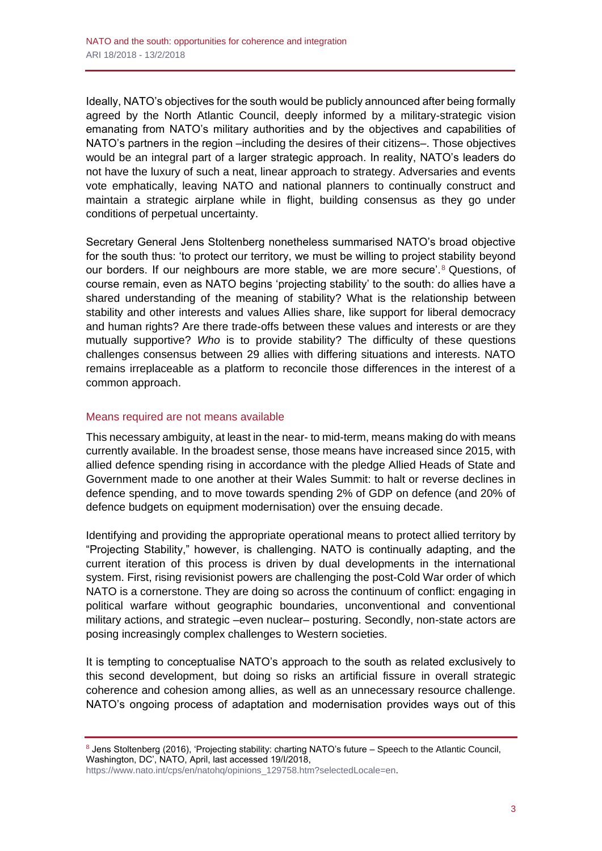Ideally, NATO's objectives for the south would be publicly announced after being formally agreed by the North Atlantic Council, deeply informed by a military-strategic vision emanating from NATO's military authorities and by the objectives and capabilities of NATO's partners in the region –including the desires of their citizens–. Those objectives would be an integral part of a larger strategic approach. In reality, NATO's leaders do not have the luxury of such a neat, linear approach to strategy. Adversaries and events vote emphatically, leaving NATO and national planners to continually construct and maintain a strategic airplane while in flight, building consensus as they go under conditions of perpetual uncertainty.

Secretary General Jens Stoltenberg nonetheless summarised NATO's broad objective for the south thus: 'to protect our territory, we must be willing to project stability beyond our borders. If our neighbours are more stable, we are more secure'.<sup>8</sup> Questions, of course remain, even as NATO begins 'projecting stability' to the south: do allies have a shared understanding of the meaning of stability? What is the relationship between stability and other interests and values Allies share, like support for liberal democracy and human rights? Are there trade-offs between these values and interests or are they mutually supportive? *Who* is to provide stability? The difficulty of these questions challenges consensus between 29 allies with differing situations and interests. NATO remains irreplaceable as a platform to reconcile those differences in the interest of a common approach.

#### Means required are not means available

This necessary ambiguity, at least in the near- to mid-term, means making do with means currently available. In the broadest sense, those means have increased since 2015, with allied defence spending rising in accordance with the pledge Allied Heads of State and Government made to one another at their Wales Summit: to halt or reverse declines in defence spending, and to move towards spending 2% of GDP on defence (and 20% of defence budgets on equipment modernisation) over the ensuing decade.

Identifying and providing the appropriate operational means to protect allied territory by "Projecting Stability," however, is challenging. NATO is continually adapting, and the current iteration of this process is driven by dual developments in the international system. First, rising revisionist powers are challenging the post-Cold War order of which NATO is a cornerstone. They are doing so across the continuum of conflict: engaging in political warfare without geographic boundaries, unconventional and conventional military actions, and strategic –even nuclear– posturing. Secondly, non-state actors are posing increasingly complex challenges to Western societies.

It is tempting to conceptualise NATO's approach to the south as related exclusively to this second development, but doing so risks an artificial fissure in overall strategic coherence and cohesion among allies, as well as an unnecessary resource challenge. NATO's ongoing process of adaptation and modernisation provides ways out of this

<sup>8</sup> Jens Stoltenberg (2016), 'Projecting stability: charting NATO's future – Speech to the Atlantic Council, Washington, DC', NATO, April, last accessed 19/I/2018,

[https://www.nato.int/cps/en/natohq/opinions\\_129758.htm?selectedLocale=en.](https://www.nato.int/cps/en/natohq/opinions_129758.htm?selectedLocale=en)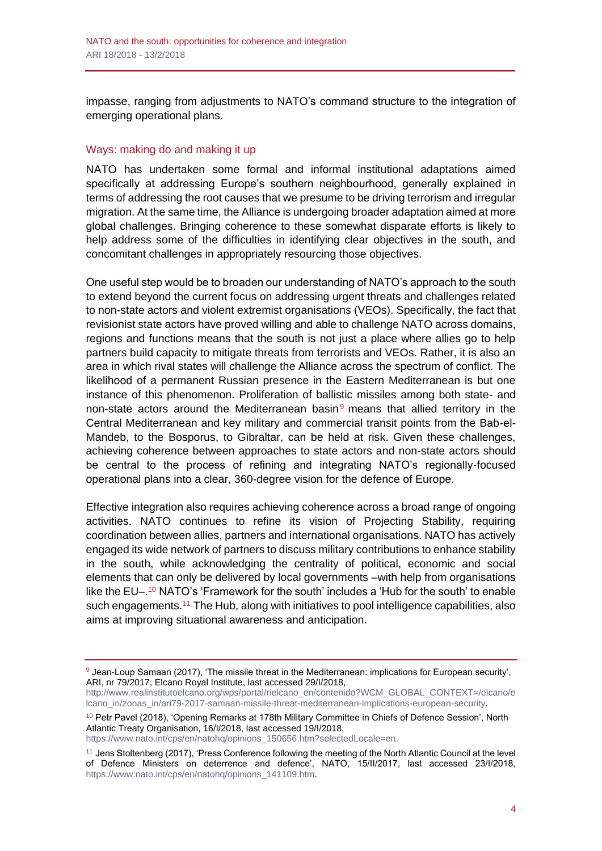impasse, ranging from adjustments to NATO's command structure to the integration of emerging operational plans.

### Ways: making do and making it up

NATO has undertaken some formal and informal institutional adaptations aimed specifically at addressing Europe's southern neighbourhood, generally explained in terms of addressing the root causes that we presume to be driving terrorism and irregular migration. At the same time, the Alliance is undergoing broader adaptation aimed at more global challenges. Bringing coherence to these somewhat disparate efforts is likely to help address some of the difficulties in identifying clear objectives in the south, and concomitant challenges in appropriately resourcing those objectives.

One useful step would be to broaden our understanding of NATO's approach to the south to extend beyond the current focus on addressing urgent threats and challenges related to non-state actors and violent extremist organisations (VEOs). Specifically, the fact that revisionist state actors have proved willing and able to challenge NATO across domains, regions and functions means that the south is not just a place where allies go to help partners build capacity to mitigate threats from terrorists and VEOs. Rather, it is also an area in which rival states will challenge the Alliance across the spectrum of conflict. The likelihood of a permanent Russian presence in the Eastern Mediterranean is but one instance of this phenomenon. Proliferation of ballistic missiles among both state- and non-state actors around the Mediterranean basin $9$  means that allied territory in the Central Mediterranean and key military and commercial transit points from the Bab-el-Mandeb, to the Bosporus, to Gibraltar, can be held at risk. Given these challenges, achieving coherence between approaches to state actors and non-state actors should be central to the process of refining and integrating NATO's regionally-focused operational plans into a clear, 360-degree vision for the defence of Europe.

Effective integration also requires achieving coherence across a broad range of ongoing activities. NATO continues to refine its vision of Projecting Stability, requiring coordination between allies, partners and international organisations. NATO has actively engaged its wide network of partners to discuss military contributions to enhance stability in the south, while acknowledging the centrality of political, economic and social elements that can only be delivered by local governments –with help from organisations like the EU–. <sup>10</sup> NATO's 'Framework for the south' includes a 'Hub for the south' to enable such engagements.<sup>11</sup> The Hub, along with initiatives to pool intelligence capabilities, also aims at improving situational awareness and anticipation.

<sup>10</sup> Petr Pavel (2018), 'Opening Remarks at 178th Military Committee in Chiefs of Defence Session', North Atlantic Treaty Organisation, 16/I/2018, last accessed 19/I/2018,

[https://www.nato.int/cps/en/natohq/opinions\\_150656.htm?selectedLocale=en.](https://www.nato.int/cps/en/natohq/opinions_150656.htm?selectedLocale=en)

<sup>9</sup> Jean-Loup Samaan (2017), 'The missile threat in the Mediterranean: implications for European security', ARI, nr 79/2017, Elcano Royal Institute, last accessed 29/I/2018,

[http://www.realinstitutoelcano.org/wps/portal/rielcano\\_en/contenido?WCM\\_GLOBAL\\_CONTEXT=/elcano/e](http://www.realinstitutoelcano.org/wps/portal/rielcano_en/contenido?WCM_GLOBAL_CONTEXT=/elcano/elcano_in/zonas_in/ari79-2017-samaan-missile-threat-mediterranean-implications-european-security) [lcano\\_in/zonas\\_in/ari79-2017-samaan-missile-threat-mediterranean-implications-european-security.](http://www.realinstitutoelcano.org/wps/portal/rielcano_en/contenido?WCM_GLOBAL_CONTEXT=/elcano/elcano_in/zonas_in/ari79-2017-samaan-missile-threat-mediterranean-implications-european-security)

<sup>11</sup> Jens Stoltenberg (2017), 'Press Conference following the meeting of the North Atlantic Council at the level of Defence Ministers on deterrence and defence', NATO, 15/II/2017, last accessed 23/I/2018, [https://www.nato.int/cps/en/natohq/opinions\\_141109.htm.](https://www.nato.int/cps/en/natohq/opinions_141109.htm)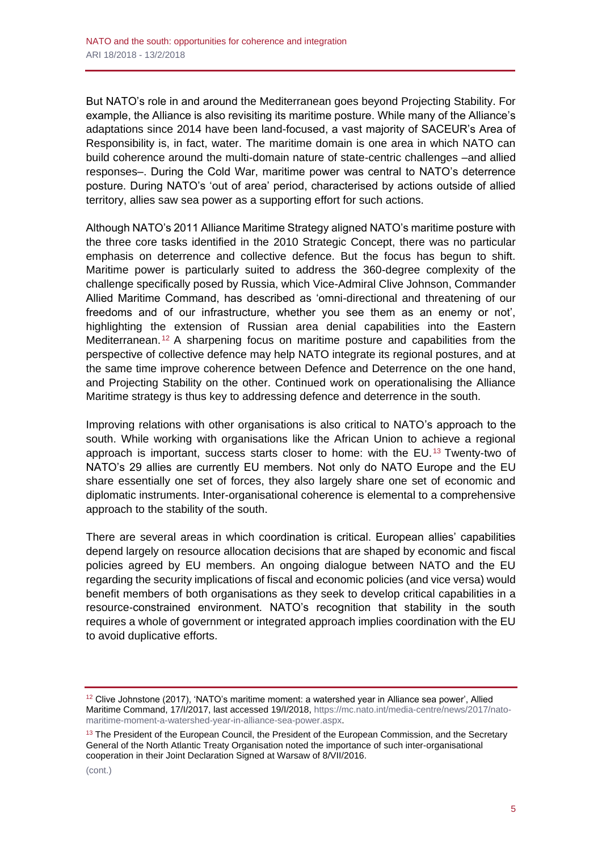But NATO's role in and around the Mediterranean goes beyond Projecting Stability. For example, the Alliance is also revisiting its maritime posture. While many of the Alliance's adaptations since 2014 have been land-focused, a vast majority of SACEUR's Area of Responsibility is, in fact, water. The maritime domain is one area in which NATO can build coherence around the multi-domain nature of state-centric challenges –and allied responses–. During the Cold War, maritime power was central to NATO's deterrence posture. During NATO's 'out of area' period, characterised by actions outside of allied territory, allies saw sea power as a supporting effort for such actions.

Although NATO's 2011 Alliance Maritime Strategy aligned NATO's maritime posture with the three core tasks identified in the 2010 Strategic Concept, there was no particular emphasis on deterrence and collective defence. But the focus has begun to shift. Maritime power is particularly suited to address the 360-degree complexity of the challenge specifically posed by Russia, which Vice-Admiral Clive Johnson, Commander Allied Maritime Command, has described as 'omni-directional and threatening of our freedoms and of our infrastructure, whether you see them as an enemy or not', highlighting the extension of Russian area denial capabilities into the Eastern Mediterranean. <sup>12</sup> A sharpening focus on maritime posture and capabilities from the perspective of collective defence may help NATO integrate its regional postures, and at the same time improve coherence between Defence and Deterrence on the one hand, and Projecting Stability on the other. Continued work on operationalising the Alliance Maritime strategy is thus key to addressing defence and deterrence in the south.

Improving relations with other organisations is also critical to NATO's approach to the south. While working with organisations like the African Union to achieve a regional approach is important, success starts closer to home: with the EU.<sup>13</sup> Twenty-two of NATO's 29 allies are currently EU members. Not only do NATO Europe and the EU share essentially one set of forces, they also largely share one set of economic and diplomatic instruments. Inter-organisational coherence is elemental to a comprehensive approach to the stability of the south.

There are several areas in which coordination is critical. European allies' capabilities depend largely on resource allocation decisions that are shaped by economic and fiscal policies agreed by EU members. An ongoing dialogue between NATO and the EU regarding the security implications of fiscal and economic policies (and vice versa) would benefit members of both organisations as they seek to develop critical capabilities in a resource-constrained environment. NATO's recognition that stability in the south requires a whole of government or integrated approach implies coordination with the EU to avoid duplicative efforts.

<sup>12</sup> Clive Johnstone (2017), 'NATO's maritime moment: a watershed year in Alliance sea power', Allied Maritime Command, 17/I/2017, last accessed 19/I/2018[, https://mc.nato.int/media-centre/news/2017/nato](https://mc.nato.int/media-centre/news/2017/nato-maritime-moment-a-watershed-year-in-alliance-sea-power.aspx)[maritime-moment-a-watershed-year-in-alliance-sea-power.aspx.](https://mc.nato.int/media-centre/news/2017/nato-maritime-moment-a-watershed-year-in-alliance-sea-power.aspx)

 $13$  The President of the European Council, the President of the European Commission, and the Secretary General of the North Atlantic Treaty Organisation noted the importance of such inter-organisational cooperation in their Joint Declaration Signed at Warsaw of 8/VII/2016.